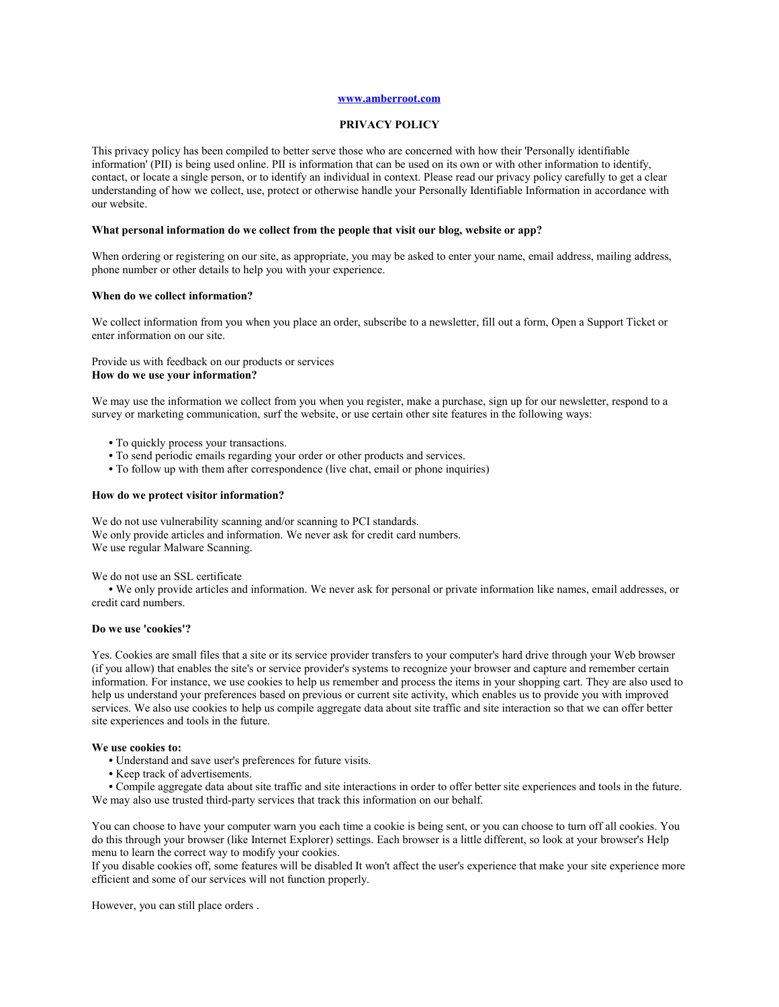## **[www.amberroot.com](http://www.amberroot.com/)**

#### **PRIVACY POLICY**

This privacy policy has been compiled to better serve those who are concerned with how their 'Personally identifiable information' (PII) is being used online. PII is information that can be used on its own or with other information to identify, contact, or locate a single person, or to identify an individual in context. Please read our privacy policy carefully to get a clear understanding of how we collect, use, protect or otherwise handle your Personally Identifiable Information in accordance with our website.

### **What personal information do we collect from the people that visit our blog, website or app?**

When ordering or registering on our site, as appropriate, you may be asked to enter your name, email address, mailing address, phone number or other details to help you with your experience.

#### **When do we collect information?**

We collect information from you when you place an order, subscribe to a newsletter, fill out a form, Open a Support Ticket or enter information on our site.

Provide us with feedback on our products or services **How do we use your information?** 

We may use the information we collect from you when you register, make a purchase, sign up for our newsletter, respond to a survey or marketing communication, surf the website, or use certain other site features in the following ways:

- **•** To quickly process your transactions.
- **•** To send periodic emails regarding your order or other products and services.
- **•** To follow up with them after correspondence (live chat, email or phone inquiries)

#### **How do we protect visitor information?**

We do not use vulnerability scanning and/or scanning to PCI standards. We only provide articles and information. We never ask for credit card numbers. We use regular Malware Scanning.

We do not use an SSL certificate

**•** We only provide articles and information. We never ask for personal or private information like names, email addresses, or credit card numbers.

## **Do we use 'cookies'?**

Yes. Cookies are small files that a site or its service provider transfers to your computer's hard drive through your Web browser (if you allow) that enables the site's or service provider's systems to recognize your browser and capture and remember certain information. For instance, we use cookies to help us remember and process the items in your shopping cart. They are also used to help us understand your preferences based on previous or current site activity, which enables us to provide you with improved services. We also use cookies to help us compile aggregate data about site traffic and site interaction so that we can offer better site experiences and tools in the future.

#### **We use cookies to:**

- **•** Understand and save user's preferences for future visits.
- **•** Keep track of advertisements.

**•** Compile aggregate data about site traffic and site interactions in order to offer better site experiences and tools in the future. We may also use trusted third-party services that track this information on our behalf.

You can choose to have your computer warn you each time a cookie is being sent, or you can choose to turn off all cookies. You do this through your browser (like Internet Explorer) settings. Each browser is a little different, so look at your browser's Help menu to learn the correct way to modify your cookies.

If you disable cookies off, some features will be disabled It won't affect the user's experience that make your site experience more efficient and some of our services will not function properly.

However, you can still place orders .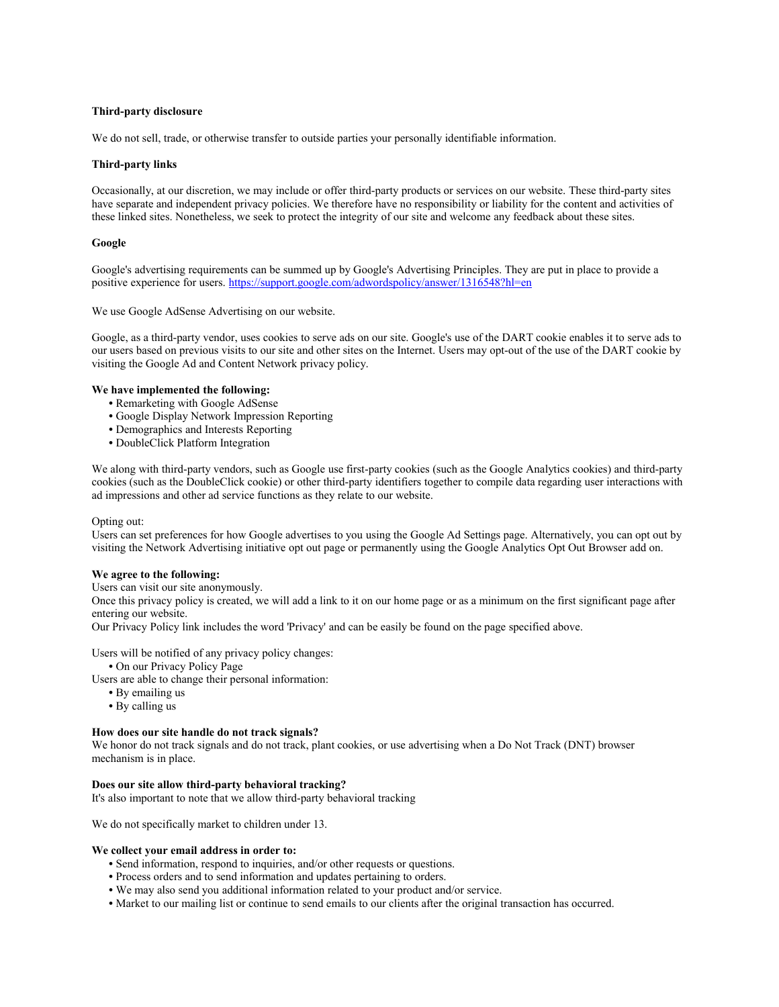## **Third-party disclosure**

We do not sell, trade, or otherwise transfer to outside parties your personally identifiable information.

### **Third-party links**

Occasionally, at our discretion, we may include or offer third-party products or services on our website. These third-party sites have separate and independent privacy policies. We therefore have no responsibility or liability for the content and activities of these linked sites. Nonetheless, we seek to protect the integrity of our site and welcome any feedback about these sites.

### **Google**

Google's advertising requirements can be summed up by Google's Advertising Principles. They are put in place to provide a positive experience for users.<https://support.google.com/adwordspolicy/answer/1316548?hl=en>

We use Google AdSense Advertising on our website.

Google, as a third-party vendor, uses cookies to serve ads on our site. Google's use of the DART cookie enables it to serve ads to our users based on previous visits to our site and other sites on the Internet. Users may opt-out of the use of the DART cookie by visiting the Google Ad and Content Network privacy policy.

## **We have implemented the following:**

- **•** Remarketing with Google AdSense
- **•** Google Display Network Impression Reporting
- **•** Demographics and Interests Reporting
- **•** DoubleClick Platform Integration

We along with third-party vendors, such as Google use first-party cookies (such as the Google Analytics cookies) and third-party cookies (such as the DoubleClick cookie) or other third-party identifiers together to compile data regarding user interactions with ad impressions and other ad service functions as they relate to our website.

#### Opting out:

Users can set preferences for how Google advertises to you using the Google Ad Settings page. Alternatively, you can opt out by visiting the Network Advertising initiative opt out page or permanently using the Google Analytics Opt Out Browser add on.

## **We agree to the following:**

Users can visit our site anonymously.

Once this privacy policy is created, we will add a link to it on our home page or as a minimum on the first significant page after entering our website.

Our Privacy Policy link includes the word 'Privacy' and can be easily be found on the page specified above.

Users will be notified of any privacy policy changes:

**•** On our Privacy Policy Page

Users are able to change their personal information:

- **•** By emailing us
- **•** By calling us

#### **How does our site handle do not track signals?**

We honor do not track signals and do not track, plant cookies, or use advertising when a Do Not Track (DNT) browser mechanism is in place.

#### **Does our site allow third-party behavioral tracking?**

It's also important to note that we allow third-party behavioral tracking

We do not specifically market to children under 13.

#### **We collect your email address in order to:**

- **•** Send information, respond to inquiries, and/or other requests or questions.
- **•** Process orders and to send information and updates pertaining to orders.
- **•** We may also send you additional information related to your product and/or service.
- **•** Market to our mailing list or continue to send emails to our clients after the original transaction has occurred.